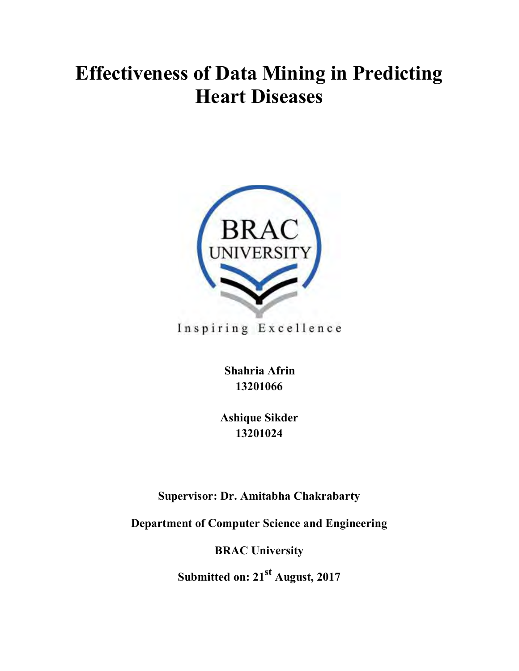# **Effectiveness of Data Mining in Predicting Heart Diseases**



Inspiring Excellence

**Shahria Afrin 13201066**

**Ashique Sikder 13201024**

**Supervisor: Dr. Amitabha Chakrabarty** 

**Department of Computer Science and Engineering** 

**BRAC University** 

**Submitted on: 21st August, 2017**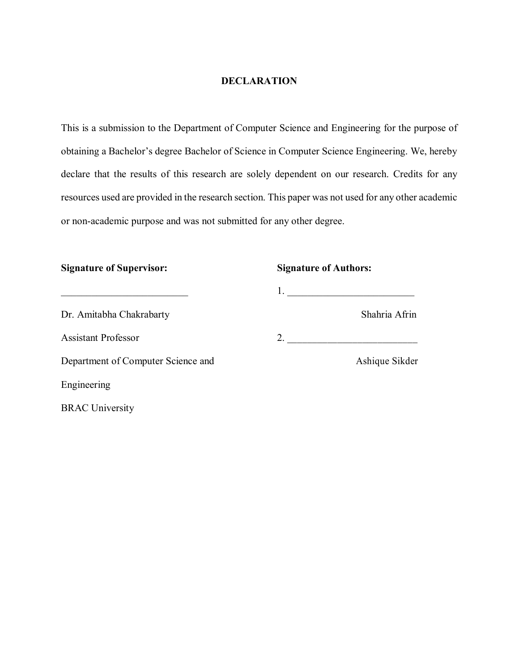## **DECLARATION**

This is a submission to the Department of Computer Science and Engineering for the purpose of obtaining a Bachelor's degree Bachelor of Science in Computer Science Engineering. We, hereby declare that the results of this research are solely dependent on our research. Credits for any resources used are provided in the research section. This paper was not used for any other academic or non-academic purpose and was not submitted for any other degree.

| <b>Signature of Supervisor:</b>    | <b>Signature of Authors:</b> |  |
|------------------------------------|------------------------------|--|
|                                    | 1.                           |  |
| Dr. Amitabha Chakrabarty           | Shahria Afrin                |  |
| <b>Assistant Professor</b>         | 2.                           |  |
| Department of Computer Science and | Ashique Sikder               |  |
| Engineering                        |                              |  |
| <b>BRAC University</b>             |                              |  |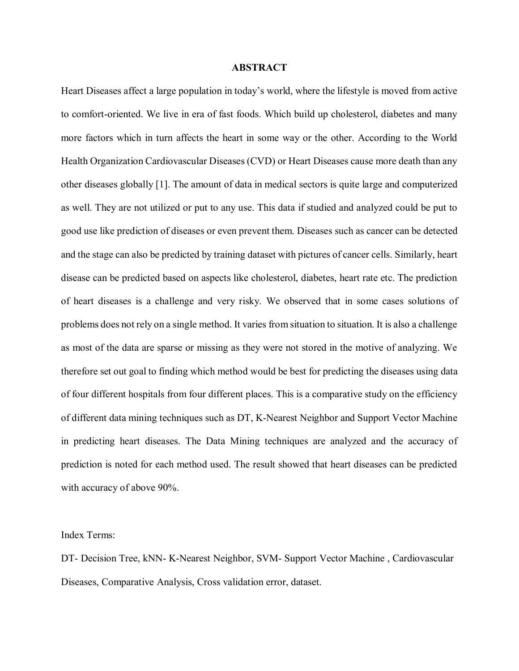#### **ABSTRACT**

Heart Diseases affect a large population in today's world, where the lifestyle is moved from active to comfort-oriented. We live in era of fast foods. Which build up cholesterol, diabetes and many more factors which in turn affects the heart in some way or the other. According to the World Health Organization Cardiovascular Diseases (CVD) or Heart Diseases cause more death than any other diseases globally [1]. The amount of data in medical sectors is quite large and computerized as well. They are not utilized or put to any use. This data if studied and analyzed could be put to good use like prediction of diseases or even prevent them. Diseases such as cancer can be detected and the stage can also be predicted by training dataset with pictures of cancer cells. Similarly, heart disease can be predicted based on aspects like cholesterol, diabetes, heart rate etc. The prediction of heart diseases is a challenge and very risky. We observed that in some cases solutions of problems does not rely on a single method. It varies from situation to situation. It is also a challenge as most of the data are sparse or missing as they were not stored in the motive of analyzing. We therefore set out goal to finding which method would be best for predicting the diseases using data of four different hospitals from four different places. This is a comparative study on the efficiency of different data mining techniques such as DT, K-Nearest Neighbor and Support Vector Machine in predicting heart diseases. The Data Mining techniques are analyzed and the accuracy of prediction is noted for each method used. The result showed that heart diseases can be predicted with accuracy of above 90%.

#### Index Terms:

DT- Decision Tree, kNN- K-Nearest Neighbor, SVM- Support Vector Machine , Cardiovascular Diseases, Comparative Analysis, Cross validation error, dataset.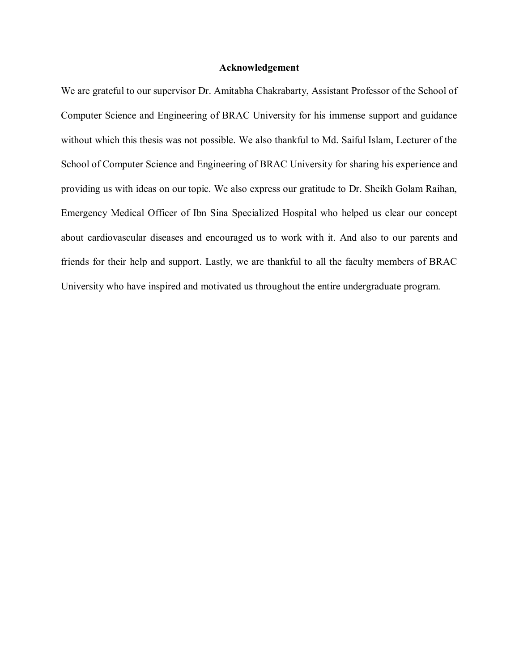#### **Acknowledgement**

We are grateful to our supervisor Dr. Amitabha Chakrabarty, Assistant Professor of the School of Computer Science and Engineering of BRAC University for his immense support and guidance without which this thesis was not possible. We also thankful to Md. Saiful Islam, Lecturer of the School of Computer Science and Engineering of BRAC University for sharing his experience and providing us with ideas on our topic. We also express our gratitude to Dr. Sheikh Golam Raihan, Emergency Medical Officer of Ibn Sina Specialized Hospital who helped us clear our concept about cardiovascular diseases and encouraged us to work with it. And also to our parents and friends for their help and support. Lastly, we are thankful to all the faculty members of BRAC University who have inspired and motivated us throughout the entire undergraduate program.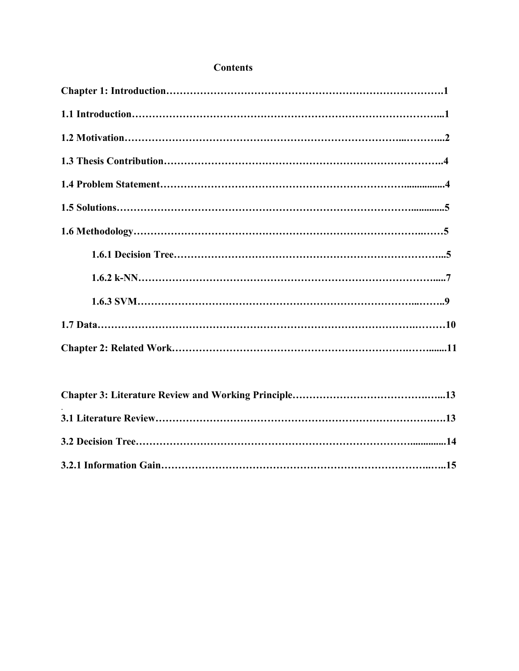## **Contents**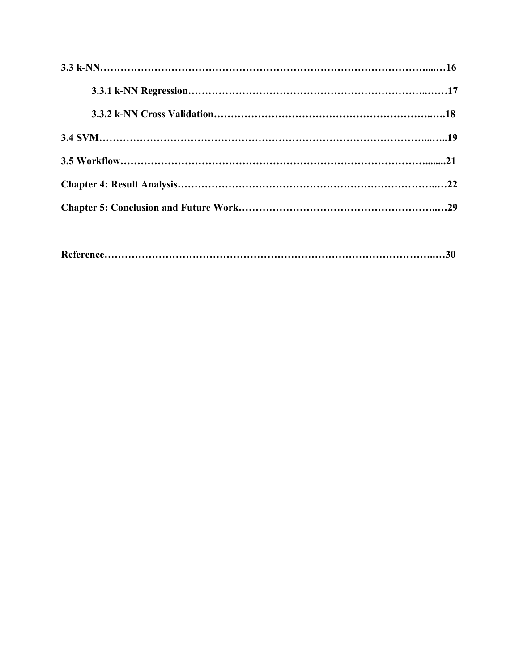|--|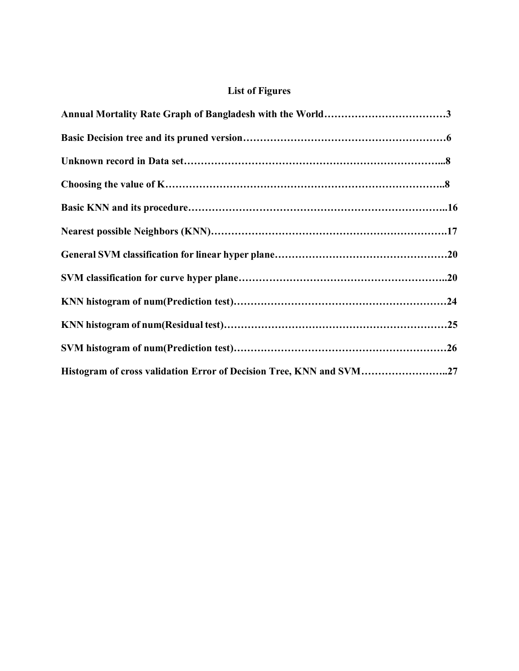## **List of Figures**

| Histogram of cross validation Error of Decision Tree, KNN and SVM27 |  |
|---------------------------------------------------------------------|--|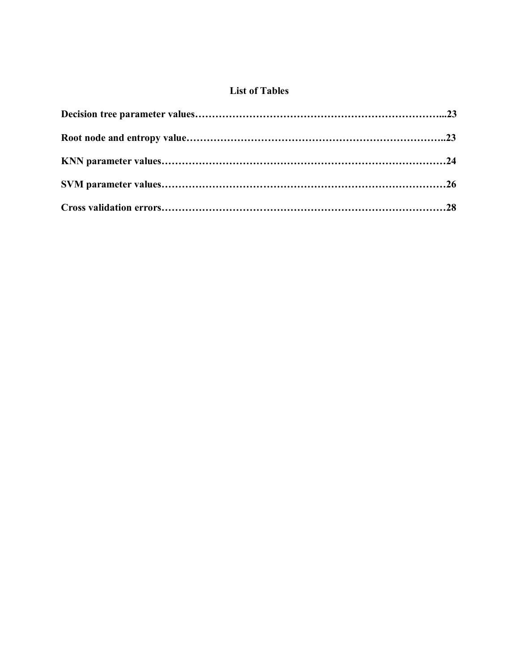## **List of Tables**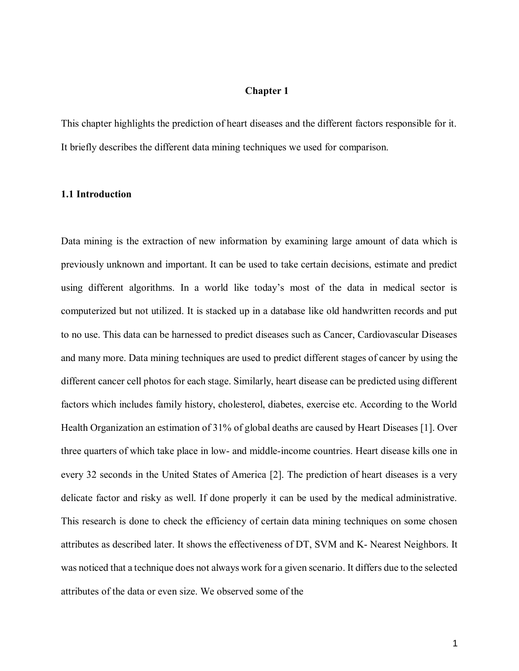#### **Chapter 1**

This chapter highlights the prediction of heart diseases and the different factors responsible for it. It briefly describes the different data mining techniques we used for comparison.

#### **1.1 Introduction**

Data mining is the extraction of new information by examining large amount of data which is previously unknown and important. It can be used to take certain decisions, estimate and predict using different algorithms. In a world like today's most of the data in medical sector is computerized but not utilized. It is stacked up in a database like old handwritten records and put to no use. This data can be harnessed to predict diseases such as Cancer, Cardiovascular Diseases and many more. Data mining techniques are used to predict different stages of cancer by using the different cancer cell photos for each stage. Similarly, heart disease can be predicted using different factors which includes family history, cholesterol, diabetes, exercise etc. According to the World Health Organization an estimation of 31% of global deaths are caused by Heart Diseases [1]. Over three quarters of which take place in low- and middle-income countries. Heart disease kills one in every 32 seconds in the United States of America [2]. The prediction of heart diseases is a very delicate factor and risky as well. If done properly it can be used by the medical administrative. This research is done to check the efficiency of certain data mining techniques on some chosen attributes as described later. It shows the effectiveness of DT, SVM and K- Nearest Neighbors. It was noticed that a technique does not always work for a given scenario. It differs due to the selected attributes of the data or even size. We observed some of the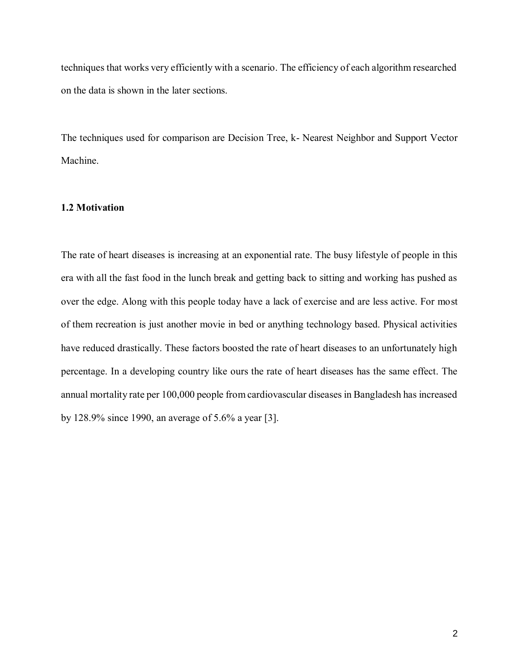techniques that works very efficiently with a scenario. The efficiency of each algorithm researched on the data is shown in the later sections.

The techniques used for comparison are Decision Tree, k- Nearest Neighbor and Support Vector Machine.

#### **1.2 Motivation**

The rate of heart diseases is increasing at an exponential rate. The busy lifestyle of people in this era with all the fast food in the lunch break and getting back to sitting and working has pushed as over the edge. Along with this people today have a lack of exercise and are less active. For most of them recreation is just another movie in bed or anything technology based. Physical activities have reduced drastically. These factors boosted the rate of heart diseases to an unfortunately high percentage. In a developing country like ours the rate of heart diseases has the same effect. The annual mortality rate per 100,000 people from cardiovascular diseases in Bangladesh has increased by 128.9% since 1990, an average of 5.6% a year [3].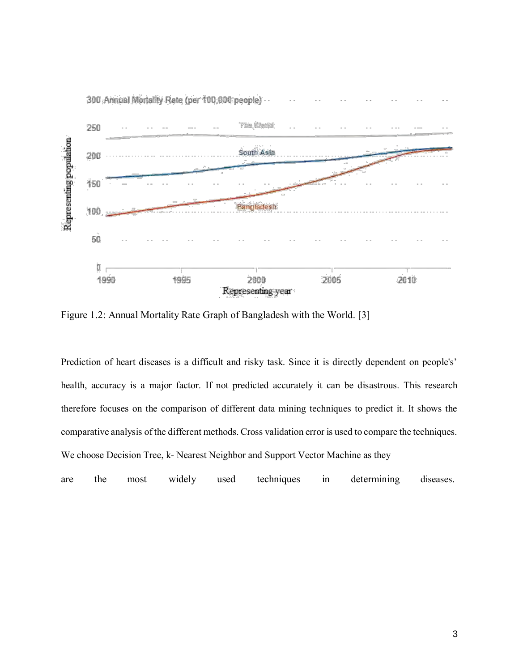

Figure 1.2: Annual Mortality Rate Graph of Bangladesh with the World. [3]

Prediction of heart diseases is a difficult and risky task. Since it is directly dependent on people's' health, accuracy is a major factor. If not predicted accurately it can be disastrous. This research therefore focuses on the comparison of different data mining techniques to predict it. It shows the comparative analysis of the different methods. Cross validation error is used to compare the techniques. We choose Decision Tree, k- Nearest Neighbor and Support Vector Machine as they

are the most widely used techniques in determining diseases.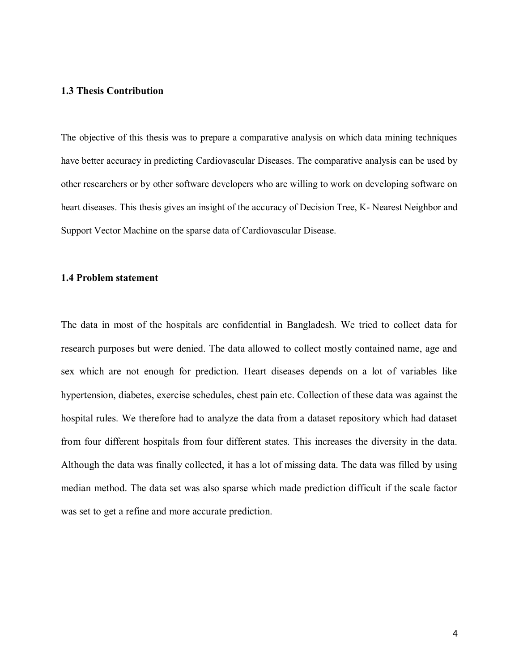#### **1.3 Thesis Contribution**

The objective of this thesis was to prepare a comparative analysis on which data mining techniques have better accuracy in predicting Cardiovascular Diseases. The comparative analysis can be used by other researchers or by other software developers who are willing to work on developing software on heart diseases. This thesis gives an insight of the accuracy of Decision Tree, K- Nearest Neighbor and Support Vector Machine on the sparse data of Cardiovascular Disease.

#### **1.4 Problem statement**

The data in most of the hospitals are confidential in Bangladesh. We tried to collect data for research purposes but were denied. The data allowed to collect mostly contained name, age and sex which are not enough for prediction. Heart diseases depends on a lot of variables like hypertension, diabetes, exercise schedules, chest pain etc. Collection of these data was against the hospital rules. We therefore had to analyze the data from a dataset repository which had dataset from four different hospitals from four different states. This increases the diversity in the data. Although the data was finally collected, it has a lot of missing data. The data was filled by using median method. The data set was also sparse which made prediction difficult if the scale factor was set to get a refine and more accurate prediction.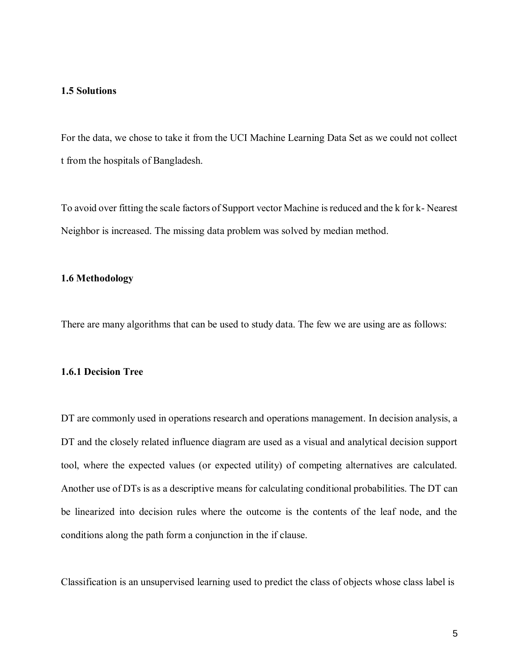## **1.5 Solutions**

For the data, we chose to take it from the UCI Machine Learning Data Set as we could not collect t from the hospitals of Bangladesh.

To avoid over fitting the scale factors of Support vector Machine is reduced and the k for k- Nearest Neighbor is increased. The missing data problem was solved by median method.

#### **1.6 Methodology**

There are many algorithms that can be used to study data. The few we are using are as follows:

#### **1.6.1 Decision Tree**

DT are commonly used in operations research and operations management. In decision analysis, a DT and the closely related influence diagram are used as a visual and analytical decision support tool, where the expected values (or expected utility) of competing alternatives are calculated. Another use of DTs is as a descriptive means for calculating conditional probabilities. The DT can be linearized into decision rules where the outcome is the contents of the leaf node, and the conditions along the path form a conjunction in the if clause.

Classification is an unsupervised learning used to predict the class of objects whose class label is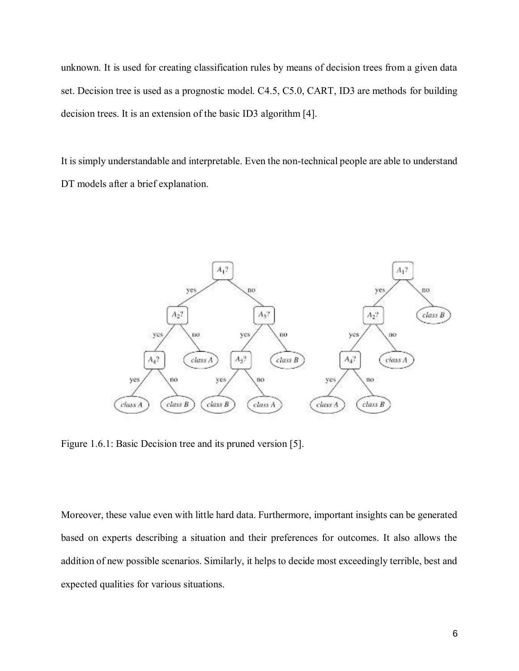unknown. It is used for creating classification rules by means of decision trees from a given data set. Decision tree is used as a prognostic model. C4.5, C5.0, CART, ID3 are methods for building decision trees. It is an extension of the basic ID3 algorithm [4].

It is simply understandable and interpretable. Even the non-technical people are able to understand DT models after a brief explanation.



Figure 1.6.1: Basic Decision tree and its pruned version [5].

Moreover, these value even with little hard data. Furthermore, important insights can be generated based on experts describing a situation and their preferences for outcomes. It also allows the addition of new possible scenarios. Similarly, it helps to decide most exceedingly terrible, best and expected qualities for various situations.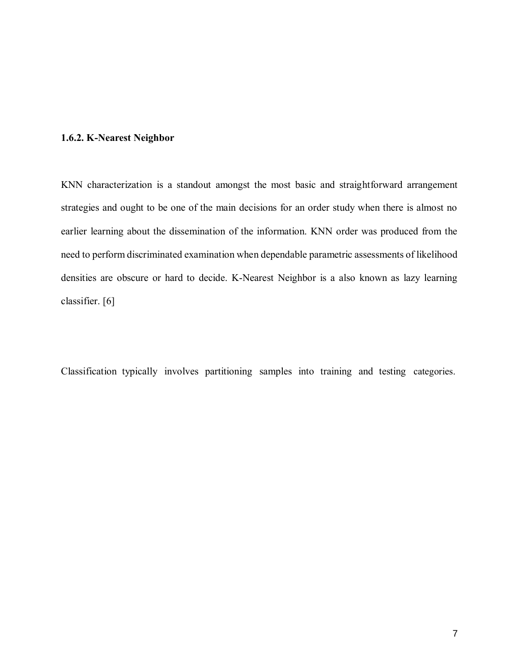## **1.6.2. K-Nearest Neighbor**

KNN characterization is a standout amongst the most basic and straightforward arrangement strategies and ought to be one of the main decisions for an order study when there is almost no earlier learning about the dissemination of the information. KNN order was produced from the need to perform discriminated examination when dependable parametric assessments of likelihood densities are obscure or hard to decide. K-Nearest Neighbor is a also known as lazy learning classifier. [6]

Classification typically involves partitioning samples into training and testing categories.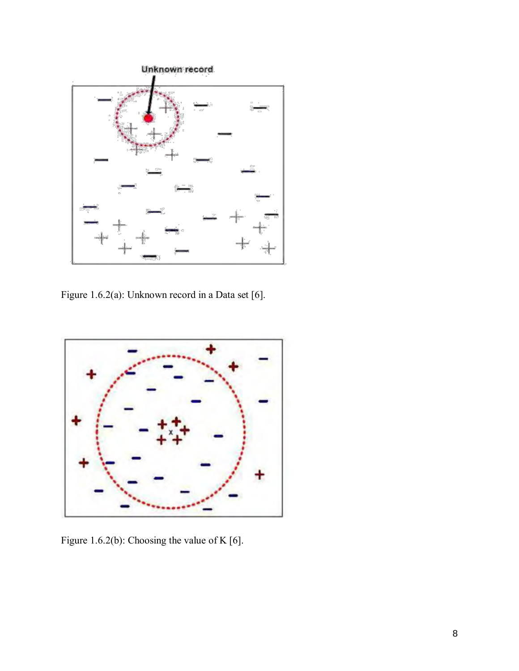

Figure 1.6.2(a): Unknown record in a Data set [6].



Figure 1.6.2(b): Choosing the value of K [6].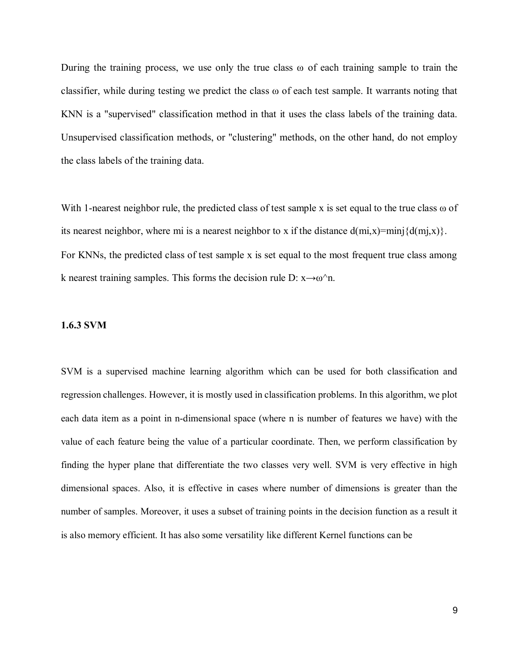During the training process, we use only the true class  $\omega$  of each training sample to train the classifier, while during testing we predict the class ω of each test sample. It warrants noting that KNN is a "supervised" classification method in that it uses the class labels of the training data. Unsupervised classification methods, or "clustering" methods, on the other hand, do not employ the class labels of the training data.

With 1-nearest neighbor rule, the predicted class of test sample x is set equal to the true class  $\omega$  of its nearest neighbor, where mi is a nearest neighbor to x if the distance  $d(m, x) = min{d(m, x)}$ . For KNNs, the predicted class of test sample x is set equal to the most frequent true class among k nearest training samples. This forms the decision rule D:  $x \rightarrow \omega^n$ n.

#### **1.6.3 SVM**

SVM is a supervised machine learning algorithm which can be used for both classification and regression challenges. However, it is mostly used in classification problems. In this algorithm, we plot each data item as a point in n-dimensional space (where n is number of features we have) with the value of each feature being the value of a particular coordinate. Then, we perform classification by finding the hyper plane that differentiate the two classes very well. SVM is very effective in high dimensional spaces. Also, it is effective in cases where number of dimensions is greater than the number of samples. Moreover, it uses a subset of training points in the decision function as a result it is also memory efficient. It has also some versatility like different Kernel functions can be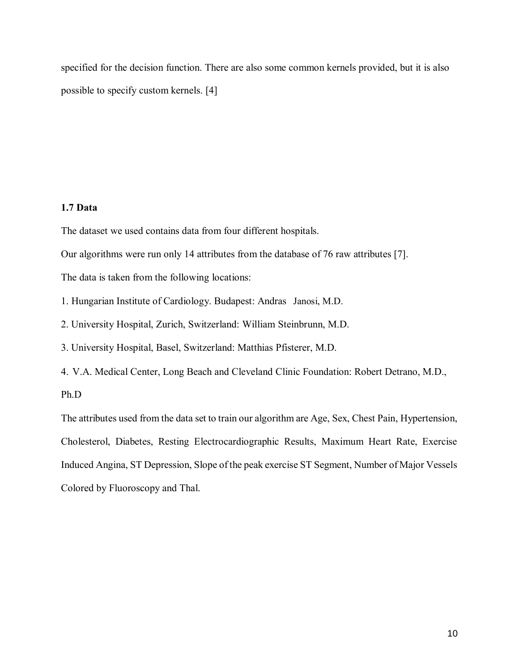specified for the decision function. There are also some common kernels provided, but it is also possible to specify custom kernels. [4]

## **1.7 Data**

The dataset we used contains data from four different hospitals.

Our algorithms were run only 14 attributes from the database of 76 raw attributes [7].

The data is taken from the following locations:

1. Hungarian Institute of Cardiology. Budapest: Andras Janosi, M.D.

2. University Hospital, Zurich, Switzerland: William Steinbrunn, M.D.

3. University Hospital, Basel, Switzerland: Matthias Pfisterer, M.D.

4. V.A. Medical Center, Long Beach and Cleveland Clinic Foundation: Robert Detrano, M.D., Ph.D

The attributes used from the data set to train our algorithm are Age, Sex, Chest Pain, Hypertension, Cholesterol, Diabetes, Resting Electrocardiographic Results, Maximum Heart Rate, Exercise Induced Angina, ST Depression, Slope of the peak exercise ST Segment, Number of Major Vessels Colored by Fluoroscopy and Thal.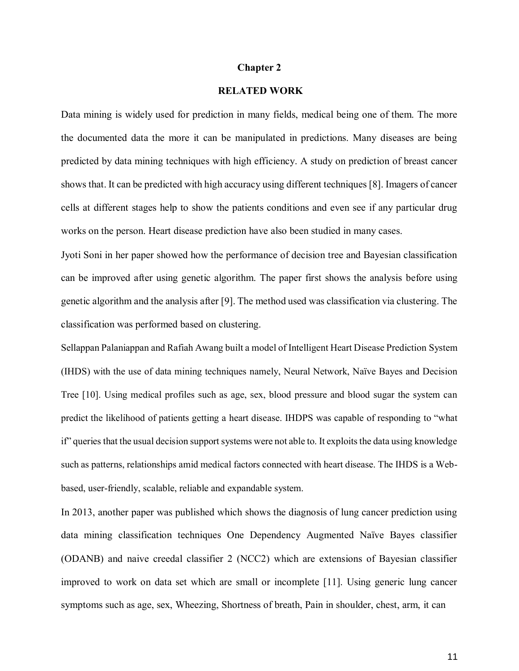#### **Chapter 2**

## **RELATED WORK**

Data mining is widely used for prediction in many fields, medical being one of them. The more the documented data the more it can be manipulated in predictions. Many diseases are being predicted by data mining techniques with high efficiency. A study on prediction of breast cancer shows that. It can be predicted with high accuracy using different techniques [8]. Imagers of cancer cells at different stages help to show the patients conditions and even see if any particular drug works on the person. Heart disease prediction have also been studied in many cases.

Jyoti Soni in her paper showed how the performance of decision tree and Bayesian classification can be improved after using genetic algorithm. The paper first shows the analysis before using genetic algorithm and the analysis after [9]. The method used was classification via clustering. The classification was performed based on clustering.

Sellappan Palaniappan and Rafiah Awang built a model of Intelligent Heart Disease Prediction System (IHDS) with the use of data mining techniques namely, Neural Network, Naïve Bayes and Decision Tree [10]. Using medical profiles such as age, sex, blood pressure and blood sugar the system can predict the likelihood of patients getting a heart disease. IHDPS was capable of responding to "what if" queries that the usual decision support systems were not able to. It exploits the data using knowledge such as patterns, relationships amid medical factors connected with heart disease. The IHDS is a Webbased, user-friendly, scalable, reliable and expandable system.

In 2013, another paper was published which shows the diagnosis of lung cancer prediction using data mining classification techniques One Dependency Augmented Naïve Bayes classifier (ODANB) and naive creedal classifier 2 (NCC2) which are extensions of Bayesian classifier improved to work on data set which are small or incomplete [11]. Using generic lung cancer symptoms such as age, sex, Wheezing, Shortness of breath, Pain in shoulder, chest, arm, it can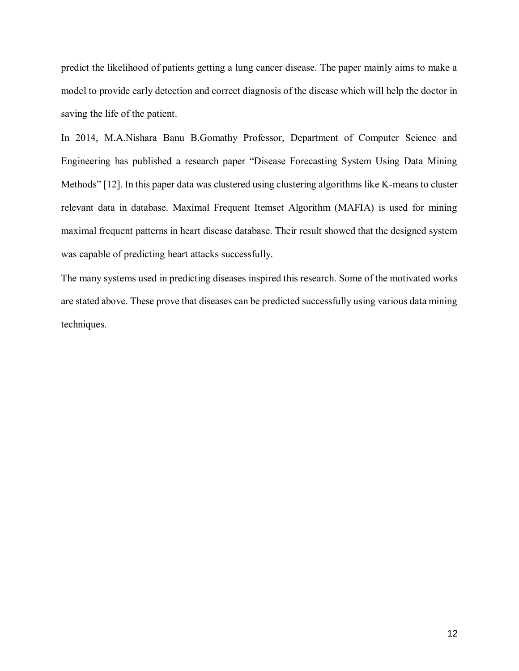predict the likelihood of patients getting a lung cancer disease. The paper mainly aims to make a model to provide early detection and correct diagnosis of the disease which will help the doctor in saving the life of the patient.

In 2014, M.A.Nishara Banu B.Gomathy Professor, Department of Computer Science and Engineering has published a research paper "Disease Forecasting System Using Data Mining Methods" [12]. In this paper data was clustered using clustering algorithms like K-means to cluster relevant data in database. Maximal Frequent Itemset Algorithm (MAFIA) is used for mining maximal frequent patterns in heart disease database. Their result showed that the designed system was capable of predicting heart attacks successfully.

The many systems used in predicting diseases inspired this research. Some of the motivated works are stated above. These prove that diseases can be predicted successfully using various data mining techniques.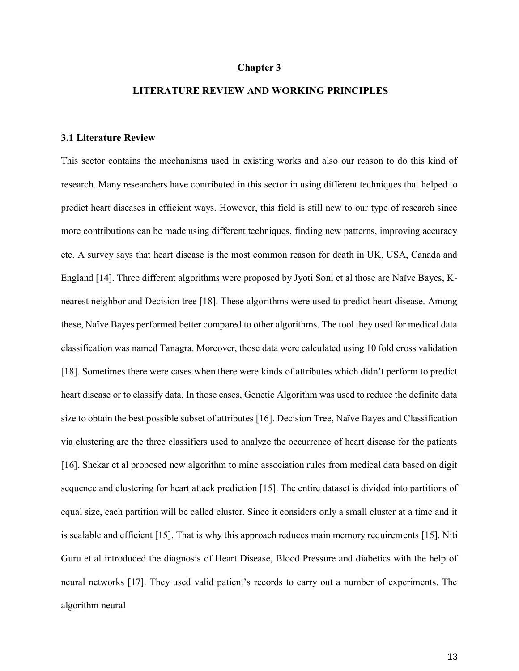#### **Chapter 3**

### **LITERATURE REVIEW AND WORKING PRINCIPLES**

#### **3.1 Literature Review**

This sector contains the mechanisms used in existing works and also our reason to do this kind of research. Many researchers have contributed in this sector in using different techniques that helped to predict heart diseases in efficient ways. However, this field is still new to our type of research since more contributions can be made using different techniques, finding new patterns, improving accuracy etc. A survey says that heart disease is the most common reason for death in UK, USA, Canada and England [14]. Three different algorithms were proposed by Jyoti Soni et al those are Naïve Bayes, Knearest neighbor and Decision tree [18]. These algorithms were used to predict heart disease. Among these, Naïve Bayes performed better compared to other algorithms. The tool they used for medical data classification was named Tanagra. Moreover, those data were calculated using 10 fold cross validation [18]. Sometimes there were cases when there were kinds of attributes which didn't perform to predict heart disease or to classify data. In those cases, Genetic Algorithm was used to reduce the definite data size to obtain the best possible subset of attributes [16]. Decision Tree, Naïve Bayes and Classification via clustering are the three classifiers used to analyze the occurrence of heart disease for the patients [16]. Shekar et al proposed new algorithm to mine association rules from medical data based on digit sequence and clustering for heart attack prediction [15]. The entire dataset is divided into partitions of equal size, each partition will be called cluster. Since it considers only a small cluster at a time and it is scalable and efficient [15]. That is why this approach reduces main memory requirements [15]. Niti Guru et al introduced the diagnosis of Heart Disease, Blood Pressure and diabetics with the help of neural networks [17]. They used valid patient's records to carry out a number of experiments. The algorithm neural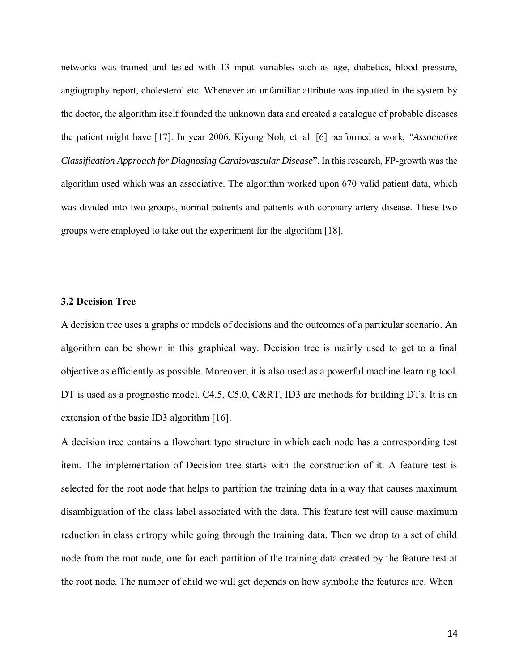networks was trained and tested with 13 input variables such as age, diabetics, blood pressure, angiography report, cholesterol etc. Whenever an unfamiliar attribute was inputted in the system by the doctor, the algorithm itself founded the unknown data and created a catalogue of probable diseases the patient might have [17]. In year 2006, Kiyong Noh, et. al. [6] performed a work, *"Associative Classification Approach for Diagnosing Cardiovascular Disease*". In this research, FP-growth was the algorithm used which was an associative. The algorithm worked upon 670 valid patient data, which was divided into two groups, normal patients and patients with coronary artery disease. These two groups were employed to take out the experiment for the algorithm [18].

#### **3.2 Decision Tree**

A decision tree uses a graphs or models of decisions and the outcomes of a particular scenario. An algorithm can be shown in this graphical way. Decision tree is mainly used to get to a final objective as efficiently as possible. Moreover, it is also used as a powerful machine learning tool. DT is used as a prognostic model. C4.5, C5.0, C&RT, ID3 are methods for building DTs. It is an extension of the basic ID3 algorithm [16].

A decision tree contains a flowchart type structure in which each node has a corresponding test item. The implementation of Decision tree starts with the construction of it. A feature test is selected for the root node that helps to partition the training data in a way that causes maximum disambiguation of the class label associated with the data. This feature test will cause maximum reduction in class entropy while going through the training data. Then we drop to a set of child node from the root node, one for each partition of the training data created by the feature test at the root node. The number of child we will get depends on how symbolic the features are. When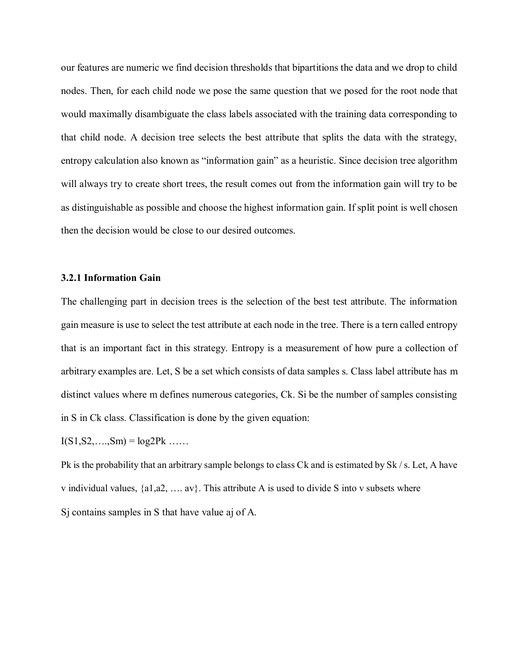our features are numeric we find decision thresholds that bipartitions the data and we drop to child nodes. Then, for each child node we pose the same question that we posed for the root node that would maximally disambiguate the class labels associated with the training data corresponding to that child node. A decision tree selects the best attribute that splits the data with the strategy, entropy calculation also known as "information gain" as a heuristic. Since decision tree algorithm will always try to create short trees, the result comes out from the information gain will try to be as distinguishable as possible and choose the highest information gain. If split point is well chosen then the decision would be close to our desired outcomes.

#### **3.2.1 Information Gain**

The challenging part in decision trees is the selection of the best test attribute. The information gain measure is use to select the test attribute at each node in the tree. There is a tern called entropy that is an important fact in this strategy. Entropy is a measurement of how pure a collection of arbitrary examples are. Let, S be a set which consists of data samples s. Class label attribute has m distinct values where m defines numerous categories, Ck. Si be the number of samples consisting in S in Ck class. Classification is done by the given equation:

 $I(S1, S2, \ldots, Sm) = log2Pk \ldots$ 

Pk is the probability that an arbitrary sample belongs to class Ck and is estimated by Sk / s. Let, A have v individual values,  $\{a1,a2,\ldots,av\}$ . This attribute A is used to divide S into v subsets where Sj contains samples in S that have value aj of A.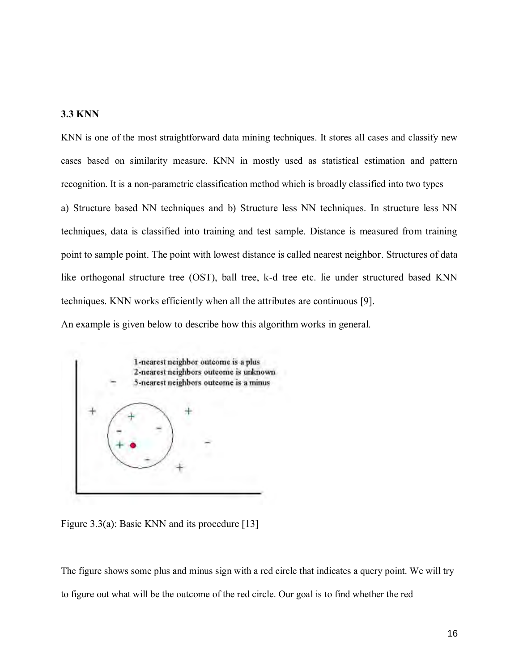#### **3.3 KNN**

KNN is one of the most straightforward data mining techniques. It stores all cases and classify new cases based on similarity measure. KNN in mostly used as statistical estimation and pattern recognition. It is a non-parametric classification method which is broadly classified into two types a) Structure based NN techniques and b) Structure less NN techniques. In structure less NN techniques, data is classified into training and test sample. Distance is measured from training point to sample point. The point with lowest distance is called nearest neighbor. Structures of data like orthogonal structure tree (OST), ball tree, k-d tree etc. lie under structured based KNN techniques. KNN works efficiently when all the attributes are continuous [9].

An example is given below to describe how this algorithm works in general.





The figure shows some plus and minus sign with a red circle that indicates a query point. We will try to figure out what will be the outcome of the red circle. Our goal is to find whether the red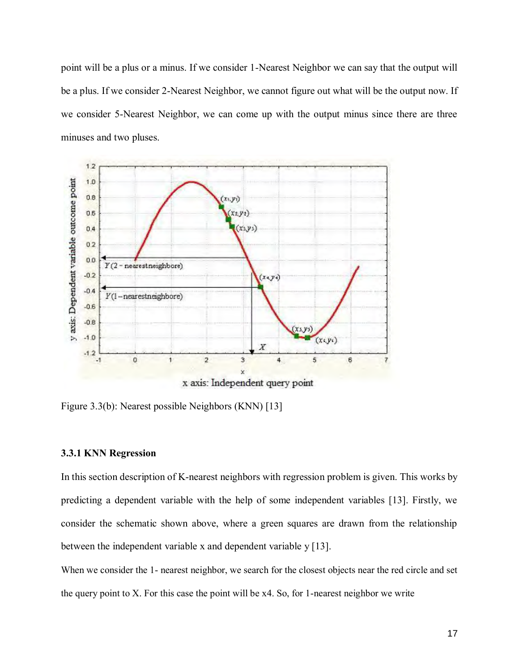point will be a plus or a minus. If we consider 1-Nearest Neighbor we can say that the output will be a plus. If we consider 2-Nearest Neighbor, we cannot figure out what will be the output now. If we consider 5-Nearest Neighbor, we can come up with the output minus since there are three minuses and two pluses.



Figure 3.3(b): Nearest possible Neighbors (KNN) [13]

## **3.3.1 KNN Regression**

In this section description of K-nearest neighbors with regression problem is given. This works by predicting a dependent variable with the help of some independent variables [13]. Firstly, we consider the schematic shown above, where a green squares are drawn from the relationship between the independent variable x and dependent variable y [13].

When we consider the 1- nearest neighbor, we search for the closest objects near the red circle and set the query point to X. For this case the point will be  $x4$ . So, for 1-nearest neighbor we write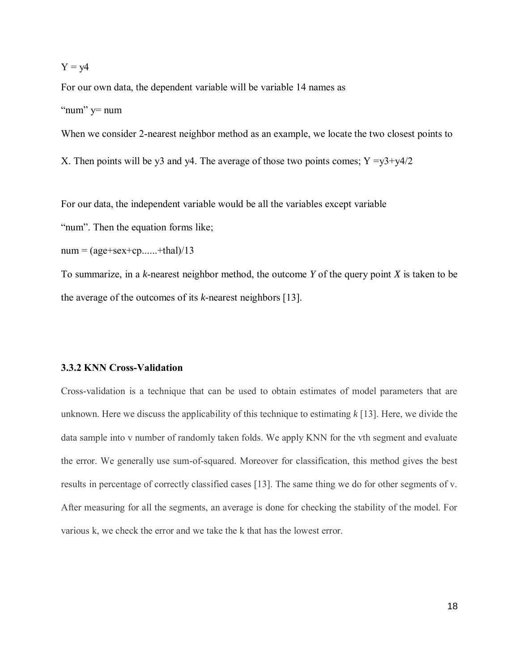### $Y = y4$

For our own data, the dependent variable will be variable 14 names as "num" y= num

When we consider 2-nearest neighbor method as an example, we locate the two closest points to

X. Then points will be y3 and y4. The average of those two points comes;  $Y = y3 + y4/2$ 

For our data, the independent variable would be all the variables except variable

"num". Then the equation forms like;

 $num = (age + sex + cp.... +thal)/13$ 

To summarize, in a *k*-nearest neighbor method, the outcome *Y* of the query point *X* is taken to be the average of the outcomes of its *k-*nearest neighbors [13].

#### **3.3.2 KNN Cross-Validation**

Cross-validation is a technique that can be used to obtain estimates of model parameters that are unknown. Here we discuss the applicability of this technique to estimating *k* [13]. Here, we divide the data sample into v number of randomly taken folds. We apply KNN for the vth segment and evaluate the error. We generally use sum-of-squared. Moreover for classification, this method gives the best results in percentage of correctly classified cases [13]. The same thing we do for other segments of v. After measuring for all the segments, an average is done for checking the stability of the model. For various k, we check the error and we take the k that has the lowest error.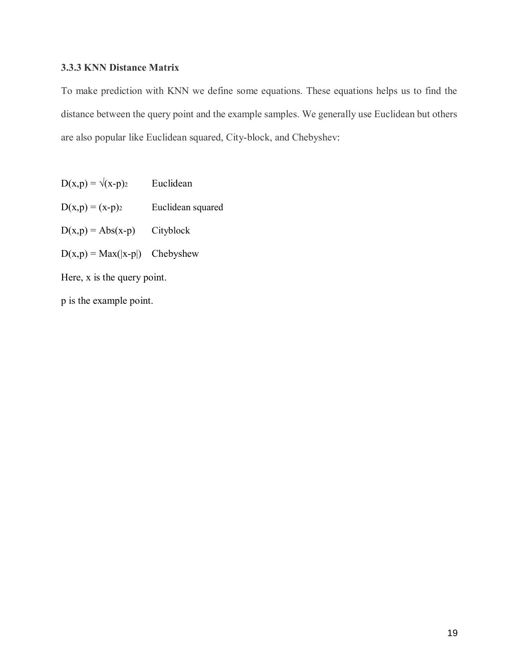## **3.3.3 KNN Distance Matrix**

To make prediction with KNN we define some equations. These equations helps us to find the distance between the query point and the example samples. We generally use Euclidean but others are also popular like Euclidean squared, City-block, and Chebyshev:

| $D(x,p) = \sqrt{(x-p)_2}$     | Euclidean         |  |
|-------------------------------|-------------------|--|
| $D(x,p) = (x-p)2$             | Euclidean squared |  |
| $D(x,p) = Abs(x-p)$           | Cityblock         |  |
| $D(x,p) = Max( x-p )$         | Chebyshew         |  |
| Here, $x$ is the query point. |                   |  |
| p is the example point.       |                   |  |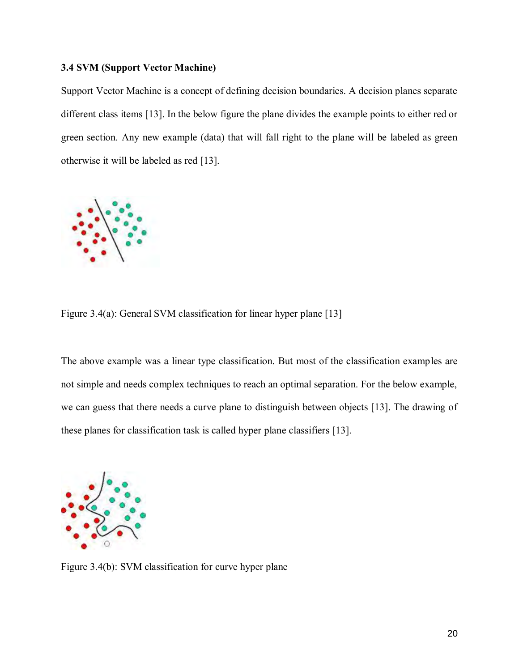#### **3.4 SVM (Support Vector Machine)**

Support Vector Machine is a concept of defining decision boundaries. A decision planes separate different class items [13]. In the below figure the plane divides the example points to either red or green section. Any new example (data) that will fall right to the plane will be labeled as green otherwise it will be labeled as red [13].



Figure 3.4(a): General SVM classification for linear hyper plane [13]

The above example was a linear type classification. But most of the classification examples are not simple and needs complex techniques to reach an optimal separation. For the below example, we can guess that there needs a curve plane to distinguish between objects [13]. The drawing of these planes for classification task is called hyper plane classifiers [13].



Figure 3.4(b): SVM classification for curve hyper plane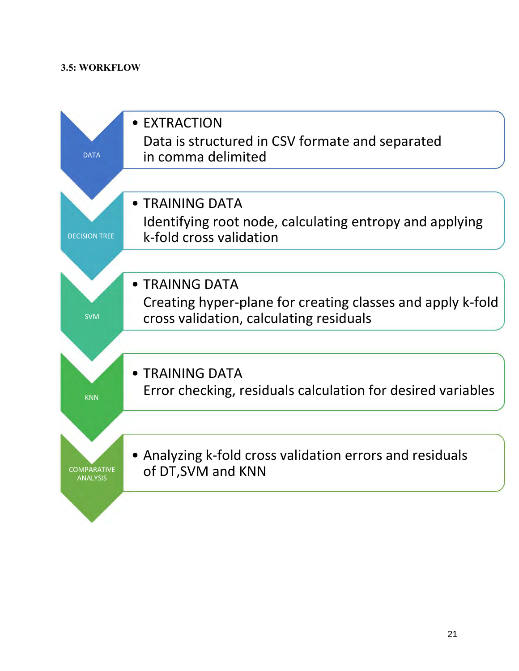## **3.5: WORKFLOW**

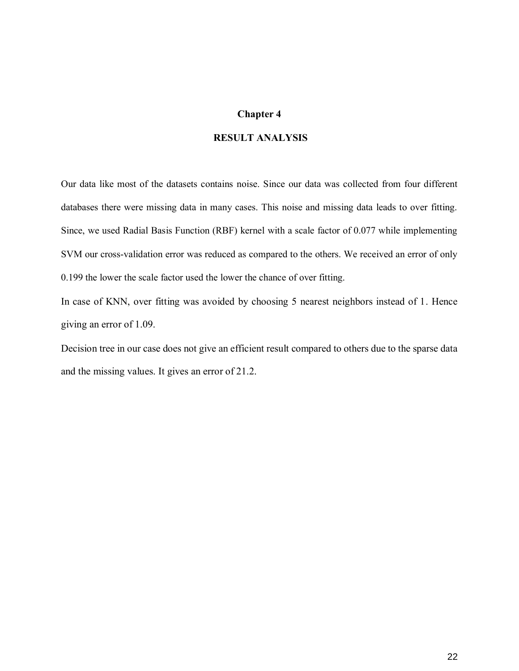### **Chapter 4**

## **RESULT ANALYSIS**

Our data like most of the datasets contains noise. Since our data was collected from four different databases there were missing data in many cases. This noise and missing data leads to over fitting. Since, we used Radial Basis Function (RBF) kernel with a scale factor of 0.077 while implementing SVM our cross-validation error was reduced as compared to the others. We received an error of only 0.199 the lower the scale factor used the lower the chance of over fitting.

In case of KNN, over fitting was avoided by choosing 5 nearest neighbors instead of 1. Hence giving an error of 1.09.

Decision tree in our case does not give an efficient result compared to others due to the sparse data and the missing values. It gives an error of 21.2.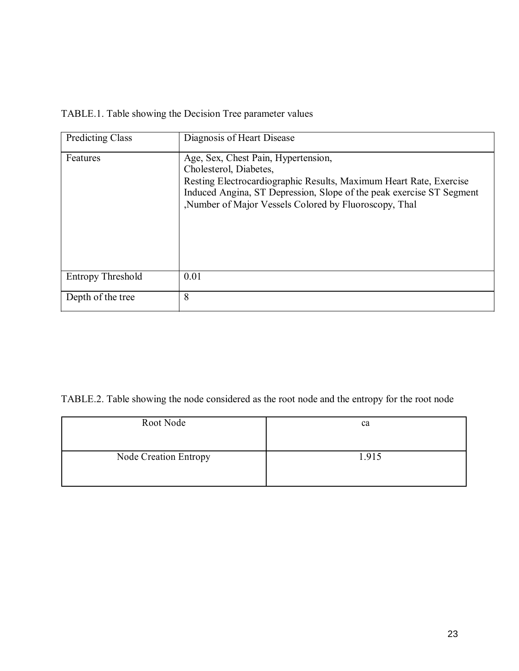TABLE.1. Table showing the Decision Tree parameter values

| <b>Predicting Class</b>  | Diagnosis of Heart Disease                                                                                                                                                                                                                                            |
|--------------------------|-----------------------------------------------------------------------------------------------------------------------------------------------------------------------------------------------------------------------------------------------------------------------|
| Features                 | Age, Sex, Chest Pain, Hypertension,<br>Cholesterol, Diabetes,<br>Resting Electrocardiographic Results, Maximum Heart Rate, Exercise<br>Induced Angina, ST Depression, Slope of the peak exercise ST Segment<br>, Number of Major Vessels Colored by Fluoroscopy, Thal |
| <b>Entropy Threshold</b> | 0.01                                                                                                                                                                                                                                                                  |
| Depth of the tree        | 8                                                                                                                                                                                                                                                                     |

TABLE.2. Table showing the node considered as the root node and the entropy for the root node

| Root Node             | ca    |
|-----------------------|-------|
| Node Creation Entropy | 1.915 |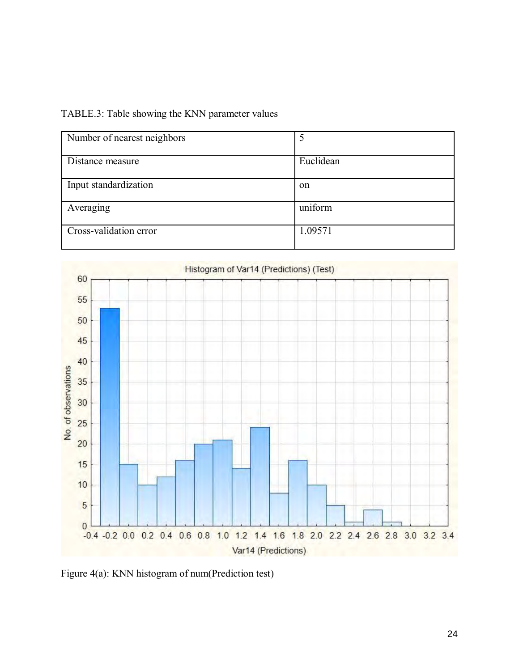## TABLE.3: Table showing the KNN parameter values

| Number of nearest neighbors |           |
|-----------------------------|-----------|
| Distance measure            | Euclidean |
| Input standardization       | on        |
| Averaging                   | uniform   |
| Cross-validation error      | 1.09571   |



Figure 4(a): KNN histogram of num(Prediction test)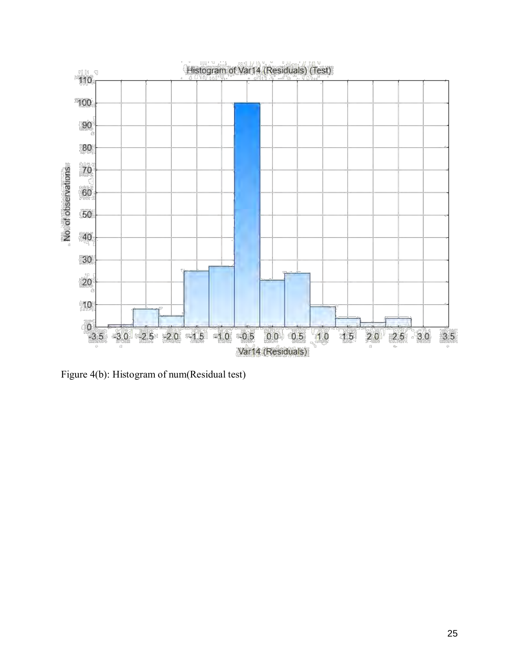

Figure 4(b): Histogram of num(Residual test)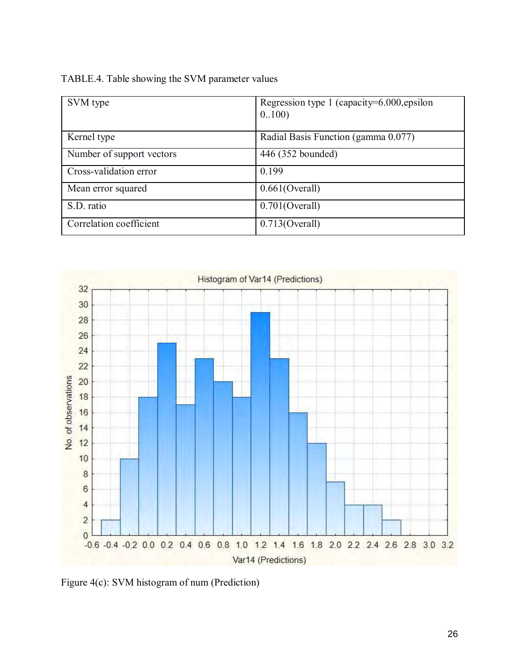TABLE.4. Table showing the SVM parameter values

| SVM type                  | Regression type 1 (capacity=6.000, epsilon<br>0.100 |
|---------------------------|-----------------------------------------------------|
| Kernel type               | Radial Basis Function (gamma 0.077)                 |
| Number of support vectors | 446 (352 bounded)                                   |
| Cross-validation error    | 0.199                                               |
| Mean error squared        | $0.661$ (Overall)                                   |
| S.D. ratio                | $0.701$ (Overall)                                   |
| Correlation coefficient   | $0.713$ (Overall)                                   |



Figure 4(c): SVM histogram of num (Prediction)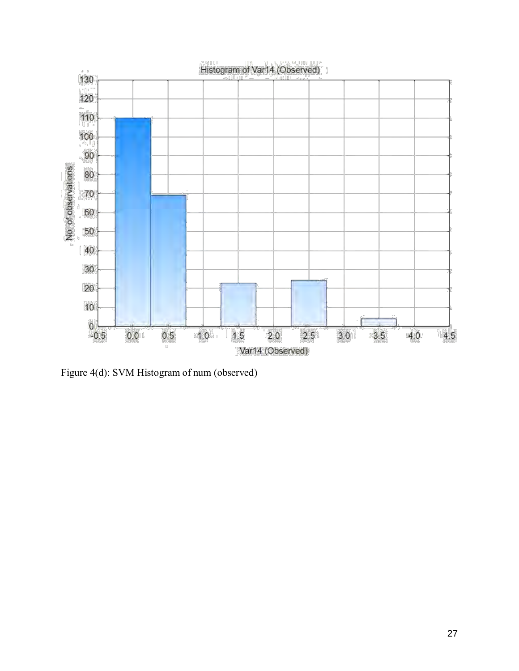

Figure 4(d): SVM Histogram of num (observed)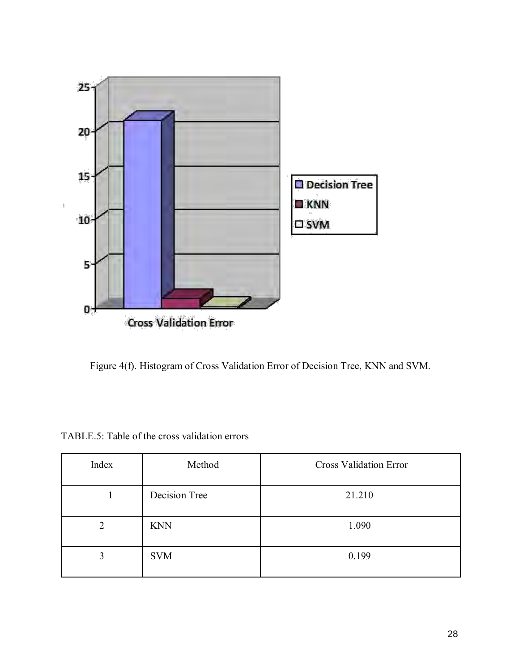

Figure 4(f). Histogram of Cross Validation Error of Decision Tree, KNN and SVM.

| Index | Method        | <b>Cross Validation Error</b> |
|-------|---------------|-------------------------------|
|       | Decision Tree | 21.210                        |
| ∍     | <b>KNN</b>    | 1.090                         |
| 3     | <b>SVM</b>    | 0.199                         |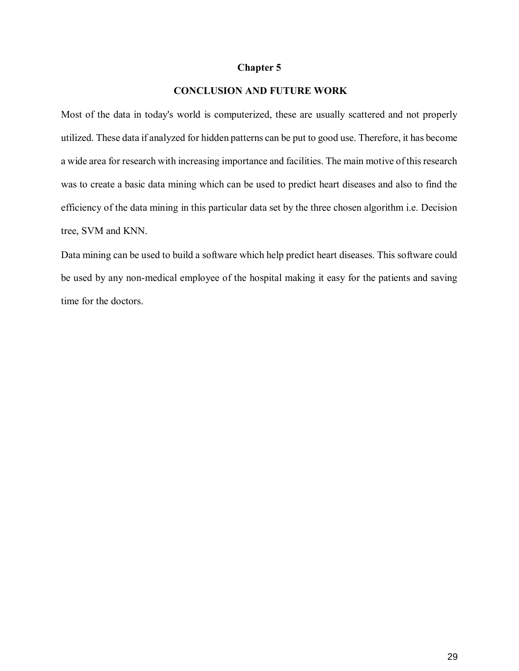#### **Chapter 5**

### **CONCLUSION AND FUTURE WORK**

Most of the data in today's world is computerized, these are usually scattered and not properly utilized. These data if analyzed for hidden patterns can be put to good use. Therefore, it has become a wide area for research with increasing importance and facilities. The main motive of this research was to create a basic data mining which can be used to predict heart diseases and also to find the efficiency of the data mining in this particular data set by the three chosen algorithm i.e. Decision tree, SVM and KNN.

Data mining can be used to build a software which help predict heart diseases. This software could be used by any non-medical employee of the hospital making it easy for the patients and saving time for the doctors.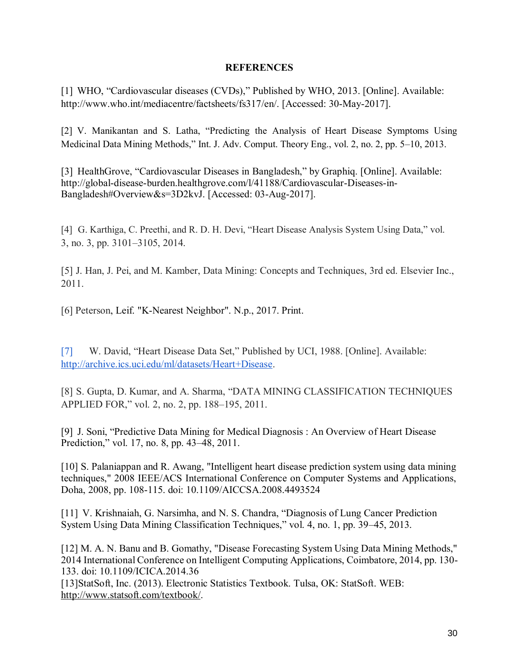## **REFERENCES**

[1] WHO, "Cardiovascular diseases (CVDs)," Published by WHO, 2013. [Online]. Available: http://www.who.int/mediacentre/factsheets/fs317/en/. [Accessed: 30-May-2017].

[2] V. Manikantan and S. Latha, "Predicting the Analysis of Heart Disease Symptoms Using Medicinal Data Mining Methods," Int. J. Adv. Comput. Theory Eng., vol. 2, no. 2, pp. 5–10, 2013.

[3] HealthGrove, "Cardiovascular Diseases in Bangladesh," by Graphiq. [Online]. Available: http://global-disease-burden.healthgrove.com/l/41188/Cardiovascular-Diseases-in-Bangladesh#Overview&s=3D2kvJ. [Accessed: 03-Aug-2017].

[4] G. Karthiga, C. Preethi, and R. D. H. Devi, "Heart Disease Analysis System Using Data," vol. 3, no. 3, pp. 3101–3105, 2014.

[5] J. Han, J. Pei, and M. Kamber, Data Mining: Concepts and Techniques, 3rd ed. Elsevier Inc., 2011.

[6] Peterson, Leif. "K-Nearest Neighbor". N.p., 2017. Print.

[7] W. David, "Heart Disease Data Set," Published by UCI, 1988. [Online]. Available: [http://archive.ics.uci.edu/ml/datasets/Heart+Disease.](http://archive.ics.uci.edu/ml/datasets/Heart+Disease)

[8] S. Gupta, D. Kumar, and A. Sharma, "DATA MINING CLASSIFICATION TECHNIQUES APPLIED FOR," vol. 2, no. 2, pp. 188–195, 2011.

[9] J. Soni, "Predictive Data Mining for Medical Diagnosis : An Overview of Heart Disease Prediction," vol. 17, no. 8, pp. 43–48, 2011.

[10] S. Palaniappan and R. Awang, "Intelligent heart disease prediction system using data mining techniques," 2008 IEEE/ACS International Conference on Computer Systems and Applications, Doha, 2008, pp. 108-115. doi: 10.1109/AICCSA.2008.4493524

[11] V. Krishnaiah, G. Narsimha, and N. S. Chandra, "Diagnosis of Lung Cancer Prediction System Using Data Mining Classification Techniques," vol. 4, no. 1, pp. 39–45, 2013.

[12] M. A. N. Banu and B. Gomathy, "Disease Forecasting System Using Data Mining Methods," 2014 International Conference on Intelligent Computing Applications, Coimbatore, 2014, pp. 130- 133. doi: 10.1109/ICICA.2014.36

[13]StatSoft, Inc. (2013). Electronic Statistics Textbook. Tulsa, OK: StatSoft. WEB: [http://www.statsoft.com/textbook/.](http://www.statsoft.com/textbook/)